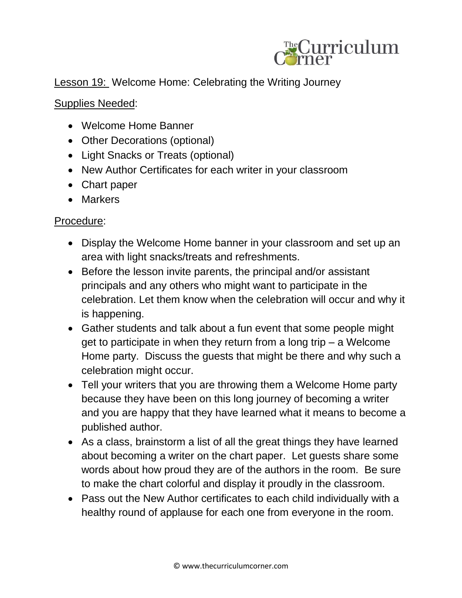

## Lesson 19: Welcome Home: Celebrating the Writing Journey

## Supplies Needed:

- Welcome Home Banner
- Other Decorations (optional)
- Light Snacks or Treats (optional)
- New Author Certificates for each writer in your classroom
- Chart paper
- Markers

## Procedure:

- Display the Welcome Home banner in your classroom and set up an area with light snacks/treats and refreshments.
- Before the lesson invite parents, the principal and/or assistant principals and any others who might want to participate in the celebration. Let them know when the celebration will occur and why it is happening.
- Gather students and talk about a fun event that some people might get to participate in when they return from a long trip – a Welcome Home party. Discuss the guests that might be there and why such a celebration might occur.
- Tell your writers that you are throwing them a Welcome Home party because they have been on this long journey of becoming a writer and you are happy that they have learned what it means to become a published author.
- As a class, brainstorm a list of all the great things they have learned about becoming a writer on the chart paper. Let guests share some words about how proud they are of the authors in the room. Be sure to make the chart colorful and display it proudly in the classroom.
- Pass out the New Author certificates to each child individually with a healthy round of applause for each one from everyone in the room.